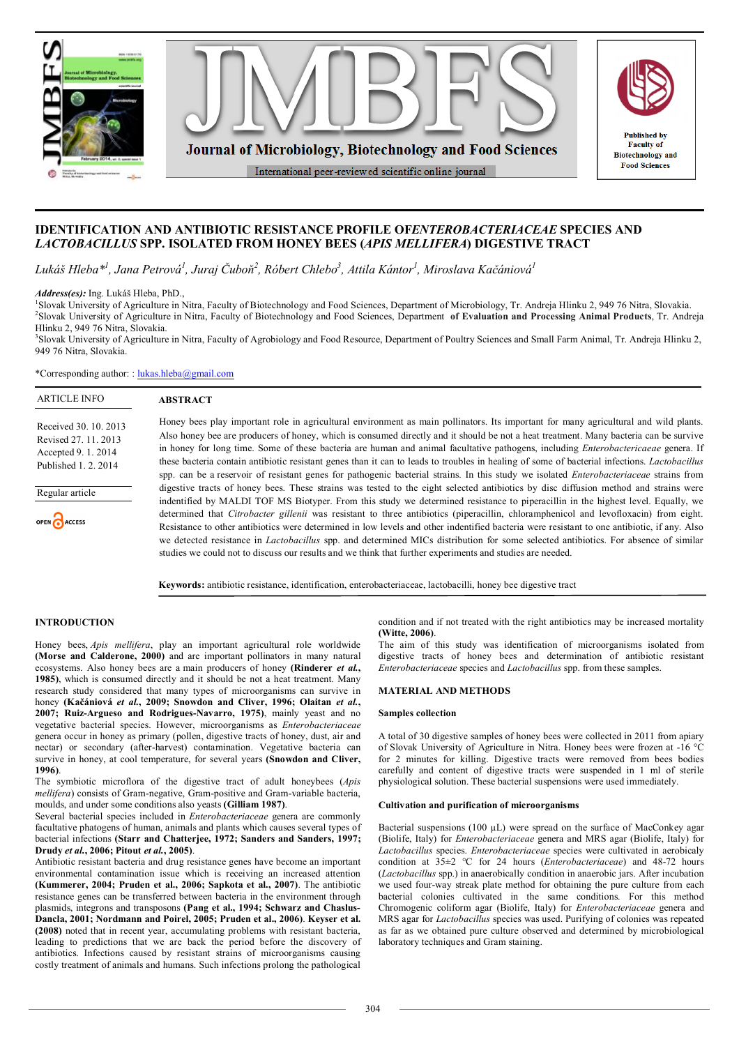

# **IDENTIFICATION AND ANTIBIOTIC RESISTANCE PROFILE OF***ENTEROBACTERIACEAE* **SPECIES AND**  *LACTOBACILLUS* **SPP. ISOLATED FROM HONEY BEES (***APIS MELLIFERA***) DIGESTIVE TRACT**

*Lukáš Hleba\*<sup>1</sup> , Jana Petrová<sup>1</sup> , Juraj Čuboň<sup>2</sup> , Róbert Chlebo<sup>3</sup> , Attila Kántor<sup>1</sup> , Miroslava Kačániová<sup>1</sup>*

*Address(es):* Ing. Lukáš Hleba, PhD.,

1 Slovak University of Agriculture in Nitra, Faculty of Biotechnology and Food Sciences, Department of Microbiology, Tr. Andreja Hlinku 2, 949 76 Nitra, Slovakia. 2 Slovak University of Agriculture in Nitra, Faculty of Biotechnology and Food Sciences, Department **of Evaluation and Processing Animal Products**, Tr. Andreja Hlinku 2, 949 76 Nitra, Slovakia.

<sup>3</sup>Slovak University of Agriculture in Nitra, Faculty of Agrobiology and Food Resource, Department of Poultry Sciences and Small Farm Animal, Tr. Andreja Hlinku 2, 949 76 Nitra, Slovakia.

\*Corresponding author: : lukas.hleba@gmail.com

**ABSTRACT**

# ARTICLE INFO

Received 30. 10. 2013 Revised 27. 11. 2013 Accepted 9. 1. 2014 Published 1. 2. 2014

Regular article

OPEN CACCESS

Honey bees play important role in agricultural environment as main pollinators. Its important for many agricultural and wild plants. Also honey bee are producers of honey, which is consumed directly and it should be not a heat treatment. Many bacteria can be survive in honey for long time. Some of these bacteria are human and animal facultative pathogens, including *Enterobactericaeae* genera. If these bacteria contain antibiotic resistant genes than it can to leads to troubles in healing of some of bacterial infections. *Lactobacillus* spp. can be a reservoir of resistant genes for pathogenic bacterial strains. In this study we isolated *Enterobacteriaceae* strains from digestive tracts of honey bees. These strains was tested to the eight selected antibiotics by disc diffusion method and strains were indentified by MALDI TOF MS Biotyper. From this study we determined resistance to piperacillin in the highest level. Equally, we determined that *Citrobacter gillenii* was resistant to three antibiotics (piperacillin, chloramphenicol and levofloxacin) from eight. Resistance to other antibiotics were determined in low levels and other indentified bacteria were resistant to one antibiotic, if any. Also we detected resistance in *Lactobacillus* spp. and determined MICs distribution for some selected antibiotics. For absence of similar studies we could not to discuss our results and we think that further experiments and studies are needed.

**Keywords:** antibiotic resistance, identification, enterobacteriaceae, lactobacilli, honey bee digestive tract

# **INTRODUCTION**

Honey bees, *Apis mellifera*, play an important agricultural role worldwide **(Morse and Calderone, 2000)** and are important pollinators in many natural ecosystems. Also honey bees are a main producers of honey **(Rinderer** *et al.***, 1985)**, which is consumed directly and it should be not a heat treatment. Many research study considered that many types of microorganisms can survive in honey **(Kačániová** *et al.***, 2009; Snowdon and Cliver, 1996; Olaitan** *et al.***, 2007; Ruiz-Argueso and Rodrigues-Navarro, 1975)**, mainly yeast and no vegetative bacterial species. However, microorganisms as *Enterobacteriaceae* genera occur in honey as primary (pollen, digestive tracts of honey, dust, air and nectar) or secondary (after-harvest) contamination. Vegetative bacteria can survive in honey, at cool temperature, for several years **(Snowdon and Cliver, 1996)**.

The symbiotic microflora of the digestive tract of adult honeybees (*Apis mellifera*) consists of Gram-negative, Gram-positive and Gram-variable bacteria, moulds, and under some conditions also yeasts **(Gilliam 1987)**.

Several bacterial species included in *Enterobacteriaceae* genera are commonly facultative phatogens of human, animals and plants which causes several types of bacterial infections **(Starr and Chatterjee, 1972; Sanders and Sanders, 1997; Drudy** *et al.***, 2006; Pitout** *et al.***, 2005)**.

Antibiotic resistant bacteria and drug resistance genes have become an important environmental contamination issue which is receiving an increased attention **(Kummerer, 2004; Pruden et al., 2006; Sapkota et al., 2007)**. The antibiotic resistance genes can be transferred between bacteria in the environment through plasmids, integrons and transposons **(Pang et al., 1994; Schwarz and Chaslus-Dancla, 2001; Nordmann and Poirel, 2005; Pruden et al., 2006)**. **Keyser et al. (2008)** noted that in recent year, accumulating problems with resistant bacteria, leading to predictions that we are back the period before the discovery of antibiotics. Infections caused by resistant strains of microorganisms causing costly treatment of animals and humans. Such infections prolong the pathological

condition and if not treated with the right antibiotics may be increased mortality **(Witte, 2006)**.

The aim of this study was identification of microorganisms isolated from digestive tracts of honey bees and determination of antibiotic resistant *Enterobacteriaceae* species and *Lactobacillus* spp. from these samples.

## **MATERIAL AND METHODS**

### **Samples collection**

A total of 30 digestive samples of honey bees were collected in 2011 from apiary of Slovak University of Agriculture in Nitra. Honey bees were frozen at -16 °C for 2 minutes for killing. Digestive tracts were removed from bees bodies carefully and content of digestive tracts were suspended in 1 ml of sterile physiological solution. These bacterial suspensions were used immediately.

### **Cultivation and purification of microorganisms**

Bacterial suspensions (100  $\mu$ L) were spread on the surface of MacConkey agar (Biolife, Italy) for *Enterobacteriaceae* genera and MRS agar (Biolife, Italy) for *Lactobacillus* species. *Enterobacteriaceae* species were cultivated in aerobicaly condition at 35±2 °C for 24 hours (*Enterobacteriaceae*) and 48-72 hours (*Lactobacillus* spp.) in anaerobically condition in anaerobic jars. After incubation we used four-way streak plate method for obtaining the pure culture from each bacterial colonies cultivated in the same conditions. For this method Chromogenic coliform agar (Biolife, Italy) for *Enterobacteriaceae* genera and MRS agar for *Lactobacillus* species was used. Purifying of colonies was repeated as far as we obtained pure culture observed and determined by microbiological laboratory techniques and Gram staining.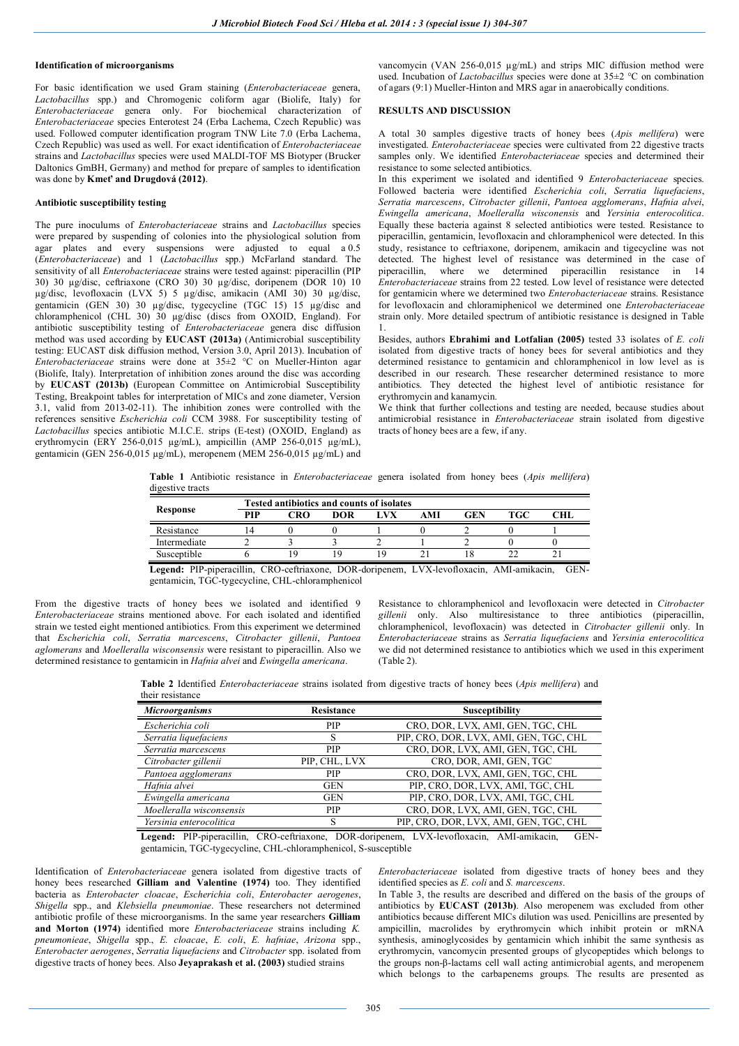## **Identification of microorganisms**

For basic identification we used Gram staining (*Enterobacteriaceae* genera, *Lactobacillus* spp.) and Chromogenic coliform agar (Biolife, Italy) for *Enterobacteriaceae* genera only. For biochemical characterization of *Enterobacteriaceae* species Enterotest 24 (Erba Lachema, Czech Republic) was used. Followed computer identification program TNW Lite 7.0 (Erba Lachema, Czech Republic) was used as well. For exact identification of *Enterobacteriaceae* strains and *Lactobacillus* species were used MALDI-TOF MS Biotyper (Brucker Daltonics GmBH, Germany) and method for prepare of samples to identification was done by **Kmeť and Drugdová (2012)**.

### **Antibiotic susceptibility testing**

The pure inoculums of *Enterobacteriaceae* strains and *Lactobacillus* species were prepared by suspending of colonies into the physiological solution from agar plates and every suspensions were adjusted to equal a 0.5 (*Enterobacteriaceae*) and 1 (*Lactobacillus* spp.) McFarland standard. The sensitivity of all *Enterobacteriaceae* strains were tested against: piperacillin (PIP 30) 30 µg/disc, ceftriaxone (CRO 30) 30 µg/disc, doripenem (DOR 10) 10 µg/disc, levofloxacin (LVX 5) 5 µg/disc, amikacin (AMI 30) 30 µg/disc, gentamicin (GEN 30) 30 µg/disc, tygecycline (TGC 15) 15 µg/disc and chloramphenicol (CHL 30) 30 µg/disc (discs from OXOID, England). For antibiotic susceptibility testing of *Enterobacteriaceae* genera disc diffusion method was used according by **EUCAST (2013a)** (Antimicrobial susceptibility testing: EUCAST disk diffusion method, Version 3.0, April 2013). Incubation of *Enterobacteriaceae* strains were done at 35±2 °C on Mueller-Hinton agar (Biolife, Italy). Interpretation of inhibition zones around the disc was according by **EUCAST (2013b)** (European Committee on Antimicrobial Susceptibility Testing, Breakpoint tables for interpretation of MICs and zone diameter, Version 3.1, valid from 2013-02-11). The inhibition zones were controlled with the references sensitive *Escherichia coli* CCM 3988. For susceptibility testing of *Lactobacillus* species antibiotic M.I.C.E. strips (E-test) (OXOID, England) as erythromycin (ERY 256-0,015 µg/mL), ampicillin (AMP 256-0,015 µg/mL), gentamicin (GEN 256-0,015 µg/mL), meropenem (MEM 256-0,015 µg/mL) and

vancomycin (VAN 256-0,015 µg/mL) and strips MIC diffusion method were used. Incubation of *Lactobacillus* species were done at 35±2 °C on combination of agars (9:1) Mueller-Hinton and MRS agar in anaerobically conditions.

### **RESULTS AND DISCUSSION**

A total 30 samples digestive tracts of honey bees (*Apis mellifera*) were investigated. *Enterobacteriaceae* species were cultivated from 22 digestive tracts samples only. We identified *Enterobacteriaceae* species and determined their resistance to some selected antibiotics.

In this experiment we isolated and identified 9 *Enterobacteriaceae* species. Followed bacteria were identified *Escherichia coli*, *Serratia liquefaciens*, *Serratia marcescens*, *Citrobacter gillenii*, *Pantoea agglomerans*, *Hafnia alvei*, *Ewingella americana*, *Moelleralla wisconensis* and *Yersinia enterocolitica*. Equally these bacteria against 8 selected antibiotics were tested. Resistance to piperacillin, gentamicin, levofloxacin and chloramphenicol were detected. In this study, resistance to ceftriaxone, doripenem, amikacin and tigecycline was not detected. The highest level of resistance was determined in the case of piperacillin, where we determined piperacillin resistance in 14 *Enterobacteriaceae* strains from 22 tested. Low level of resistance were detected for gentamicin where we determined two *Enterobacteriaceae* strains. Resistance for levofloxacin and chloramiphenicol we determined one *Enterobacteriaceae* strain only. More detailed spectrum of antibiotic resistance is designed in Table 1.

Besides, authors **Ebrahimi and Lotfalian (2005)** tested 33 isolates of *E. coli* isolated from digestive tracts of honey bees for several antibiotics and they determined resistance to gentamicin and chloramphenicol in low level as is described in our research. These researcher determined resistance to more antibiotics. They detected the highest level of antibiotic resistance for erythromycin and kanamycin.

We think that further collections and testing are needed, because studies about antimicrobial resistance in *Enterobacteriaceae* strain isolated from digestive tracts of honey bees are a few, if any.

**Table 1** Antibiotic resistance in *Enterobacteriaceae* genera isolated from honey bees (*Apis mellifera*) digestive tracts

|              | <b>Tested antibiotics and counts of isolates</b> |     |            |      |     |     |     |     |  |  |  |
|--------------|--------------------------------------------------|-----|------------|------|-----|-----|-----|-----|--|--|--|
| Response     | PIP                                              | CRO | <b>DOR</b> | 7.VX | AMI | GEN | TGC | CHL |  |  |  |
| Resistance   |                                                  |     |            |      |     |     |     |     |  |  |  |
| Intermediate |                                                  |     |            |      |     |     |     |     |  |  |  |
| Susceptible  |                                                  | ١g  | q          |      |     |     |     |     |  |  |  |
|              |                                                  |     |            |      |     |     |     |     |  |  |  |

**Legend:** PIP-piperacillin, CRO-ceftriaxone, DOR-doripenem, LVX-levofloxacin, AMI-amikacin, GENgentamicin, TGC-tygecycline, CHL-chloramphenicol

From the digestive tracts of honey bees we isolated and identified 9 *Enterobacteriaceae* strains mentioned above. For each isolated and identified strain we tested eight mentioned antibiotics. From this experiment we determined that *Escherichia coli*, *Serratia marcescens*, *Citrobacter gillenii*, *Pantoea aglomerans* and *Moelleralla wisconsensis* were resistant to piperacillin. Also we determined resistance to gentamicin in *Hafnia alvei* and *Ewingella americana*.

Resistance to chloramphenicol and levofloxacin were detected in *Citrobacter gillenii* only. Also multiresistance to three antibiotics (piperacillin, chloramphenicol, levofloxacin) was detected in *Citrobacter gillenii* only. In *Enterobacteriaceae* strains as *Serratia liquefaciens* and *Yersinia enterocolitica*  we did not determined resistance to antibiotics which we used in this experiment (Table 2).

**Table 2** Identified *Enterobacteriaceae* strains isolated from digestive tracts of honey bees (*Apis mellifera*) and their resistance

| <b>Microorganisms</b>    | <b>Resistance</b> | <b>Susceptibility</b>                  |
|--------------------------|-------------------|----------------------------------------|
| Escherichia coli         | PIP               | CRO, DOR, LVX, AMI, GEN, TGC, CHL      |
| Serratia liquefaciens    |                   | PIP, CRO, DOR, LVX, AMI, GEN, TGC, CHL |
| Serratia marcescens      | PIP               | CRO, DOR, LVX, AMI, GEN, TGC, CHL      |
| Citrobacter gillenii     | PIP, CHL, LVX     | CRO, DOR, AMI, GEN, TGC                |
| Pantoea agglomerans      | <b>PIP</b>        | CRO, DOR, LVX, AMI, GEN, TGC, CHL      |
| Hafnia alvei             | <b>GEN</b>        | PIP, CRO, DOR, LVX, AMI, TGC, CHL      |
| Ewingella americana      | <b>GEN</b>        | PIP, CRO, DOR, LVX, AMI, TGC, CHL      |
| Moelleralla wisconsensis | <b>PIP</b>        | CRO, DOR, LVX, AMI, GEN, TGC, CHL      |
| Yersinia enterocolitica  |                   | PIP, CRO, DOR, LVX, AMI, GEN, TGC, CHL |

**Legend:** PIP-piperacillin, CRO-ceftriaxone, DOR-doripenem, LVX-levofloxacin, AMI-amikacin, GENgentamicin, TGC-tygecycline, CHL-chloramphenicol, S-susceptible

Identification of *Enterobacteriaceae* genera isolated from digestive tracts of honey bees researched **Gilliam and Valentine (1974)** too. They identified bacteria as *Enterobacter cloacae*, *Escherichia coli*, *Enterobacter aerogenes*, *Shigella* spp., and *Klebsiella pneumoniae*. These researchers not determined antibiotic profile of these microorganisms. In the same year researchers **Gilliam and Morton (1974)** identified more *Enterobacteriaceae* strains including *K. pneumonieae*, *Shigella* spp., *E. cloacae*, *E. coli*, *E. hafniae*, *Arizona* spp., *Enterobacter aerogenes*, *Serratia liquefaciens* and *Citrobacter* spp. isolated from digestive tracts of honey bees. Also **Jeyaprakash et al. (2003)** studied strains

*Enterobacteriaceae* isolated from digestive tracts of honey bees and they identified species as *E. coli* and *S. marcescens*.

In Table 3, the results are described and differed on the basis of the groups of antibiotics by **EUCAST (2013b)**. Also meropenem was excluded from other antibiotics because different MICs dilution was used. Penicillins are presented by ampicillin, macrolides by erythromycin which inhibit protein or mRNA synthesis, aminoglycosides by gentamicin which inhibit the same synthesis as erythromycin, vancomycin presented groups of glycopeptides which belongs to the groups non-β-lactams cell wall acting antimicrobial agents, and meropenem which belongs to the carbapenems groups. The results are presented as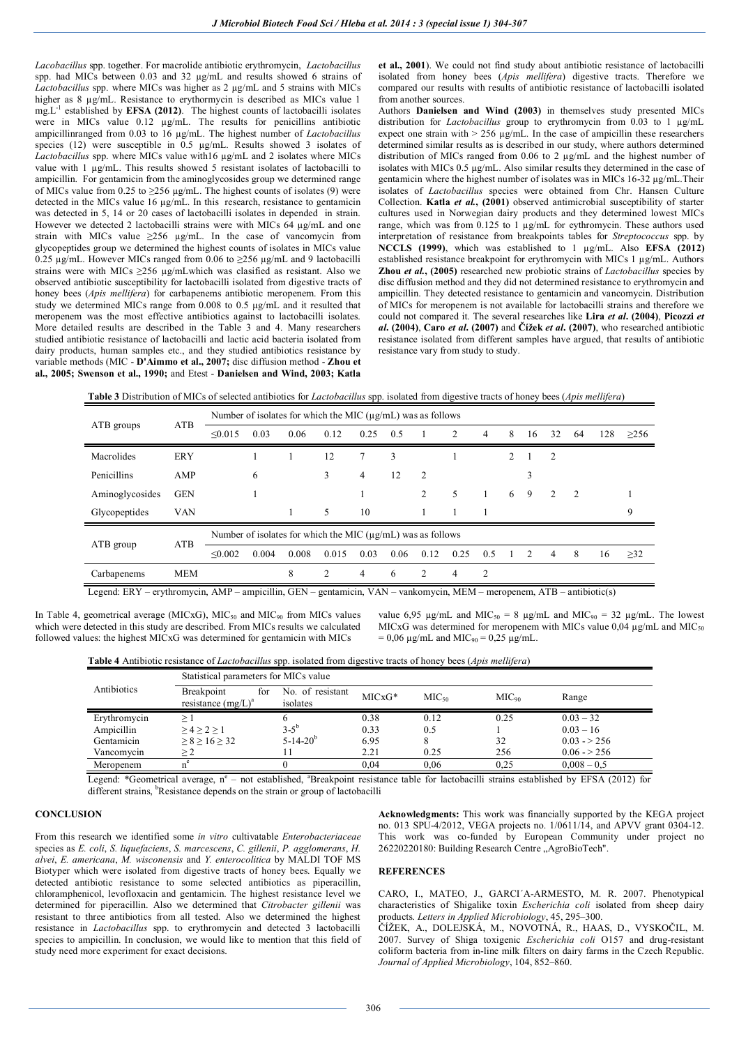*Lacobacillus* spp. together. For macrolide antibiotic erythromycin, *Lactobacillus* spp. had MICs between 0.03 and 32 µg/mL and results showed 6 strains of *Lactobacillus* spp. where MICs was higher as 2 µg/mL and 5 strains with MICs higher as 8 µg/mL. Resistance to erythormycin is described as MICs value 1 mg.L-1 established by **EFSA (2012)**. The highest counts of lactobacilli isolates were in MICs value 0.12 µg/mL. The results for penicillins antibiotic ampicillinranged from 0.03 to 16 µg/mL. The highest number of *Lactobacillus* species (12) were susceptible in 0.5 µg/mL. Results showed 3 isolates of *Lactobacillus* spp. where MICs value with16 µg/mL and 2 isolates where MICs value with 1 µg/mL. This results showed 5 resistant isolates of lactobacilli to ampicillin. For gentamicin from the aminoglycosides group we determined range of MICs value from 0.25 to  $\geq$ 256 µg/mL. The highest counts of isolates (9) were detected in the MICs value 16 µg/mL. In this research, resistance to gentamicin was detected in 5, 14 or 20 cases of lactobacilli isolates in depended in strain. However we detected 2 lactobacilli strains were with MICs  $64 \mu g/mL$  and one strain with MICs value ≥256 µg/mL. In the case of vancomycin from glycopeptides group we determined the highest counts of isolates in MICs value 0.25  $\mu$ g/mL. However MICs ranged from 0.06 to  $\geq$ 256  $\mu$ g/mL and 9 lactobacilli strains were with MICs  $\geq$ 256 µg/mLwhich was clasified as resistant. Also we observed antibiotic susceptibility for lactobacilli isolated from digestive tracts of honey bees (*Apis mellifera*) for carbapenems antibiotic meropenem. From this study we determined MICs range from 0.008 to 0.5 µg/mL and it resulted that meropenem was the most effective antibiotics against to lactobacilli isolates. More detailed results are described in the Table 3 and 4. Many researchers studied antibiotic resistance of lactobacilli and lactic acid bacteria isolated from dairy products, human samples etc., and they studied antibiotics resistance by variable methods (MIC - **D'Aimmo et al., 2007;** disc diffusion method - **Zhou et al., 2005; Swenson et al., 1990;** and Etest - **Danielsen and Wind, 2003; Katla** 

**et al., 2001**). We could not find study about antibiotic resistance of lactobacilli isolated from honey bees (*Apis mellifera*) digestive tracts. Therefore we compared our results with results of antibiotic resistance of lactobacilli isolated from another sources.

Authors **Danielsen and Wind (2003)** in themselves study presented MICs distribution for *Lactobacillus* group to erythromycin from 0.03 to 1 µg/mL expect one strain with  $> 256 \mu g/mL$ . In the case of ampicillin these researchers determined similar results as is described in our study, where authors determined distribution of MICs ranged from 0.06 to 2 µg/mL and the highest number of isolates with MICs 0.5 µg/mL. Also similar results they determined in the case of gentamicin where the highest number of isolates was in MICs 16-32 µg/mL.Their isolates of *Lactobacillus* species were obtained from Chr. Hansen Culture Collection. **Katla** *et al.***, (2001)** observed antimicrobial susceptibility of starter cultures used in Norwegian dairy products and they determined lowest MICs range, which was from  $0.125$  to 1  $\mu$ g/mL for eythromycin. These authors used interpretation of resistance from breakpoints tables for *Streptococcus* spp. by **NCCLS (1999)**, which was established to 1 µg/mL. Also **EFSA (2012)** established resistance breakpoint for erythromycin with MICs 1 µg/mL. Authors **Zhou** *et al.***, (2005)** researched new probiotic strains of *Lactobacillus* species by disc diffusion method and they did not determined resistance to erythromycin and ampicillin. They detected resistance to gentamicin and vancomycin. Distribution of MICs for meropenem is not available for lactobacilli strains and therefore we could not compared it. The several researches like **Lira** *et al***. (2004)**, **Picozzi** *et al***. (2004)**, **Caro** *et al***. (2007)** and **Čížek** *et al***. (2007)**, who researched antibiotic resistance isolated from different samples have argued, that results of antibiotic resistance vary from study to study.

**Table 3** Distribution of MICs of selected antibiotics for *Lactobacillus* spp. isolated from digestive tracts of honey bees (*Apis mellifera*)

|                   |            | Number of isolates for which the MIC $(\mu g/mL)$ was as follows |       |       |                |      |      |      |      |     |   |                |                |     |     |            |
|-------------------|------------|------------------------------------------------------------------|-------|-------|----------------|------|------|------|------|-----|---|----------------|----------------|-----|-----|------------|
| ATB<br>ATB groups |            | $\leq 0.015$                                                     | 0.03  | 0.06  | 0.12           | 0.25 | 0.5  |      | 2    | 4   | 8 | 16             | 32             | -64 | 128 | $\geq$ 256 |
| Macrolides        | <b>ERY</b> |                                                                  |       |       | 12             | 7    | 3    |      |      |     | 2 |                | 2              |     |     |            |
| Penicillins       | AMP        |                                                                  | 6     |       | 3              | 4    | 12   | 2    |      |     |   | 3              |                |     |     |            |
| Aminoglycosides   | <b>GEN</b> |                                                                  |       |       |                |      |      | 2    | 5    |     | 6 | 9              | 2              | 2   |     |            |
| Glycopeptides     | <b>VAN</b> |                                                                  |       |       | 5              | 10   |      |      |      |     |   |                |                |     |     | 9          |
|                   | <b>ATB</b> | Number of isolates for which the MIC $(\mu g/mL)$ was as follows |       |       |                |      |      |      |      |     |   |                |                |     |     |            |
| ATB group         |            | $\leq 0.002$                                                     | 0.004 | 0.008 | 0.015          | 0.03 | 0.06 | 0.12 | 0.25 | 0.5 |   | $\overline{2}$ | $\overline{4}$ | 8   | 16  | >32        |
| Carbapenems       | <b>MEM</b> |                                                                  |       | 8     | $\overline{c}$ | 4    | 6    | 2    | 4    | 2   |   |                |                |     |     |            |

Legend: ERY – erythromycin, AMP – ampicillin, GEN – gentamicin, VAN – vankomycin, MEM – meropenem, ATB – antibiotic(s)

In Table 4, geometrical average (MICxG),  $MIC<sub>50</sub>$  and MIC<sub>90</sub> from MICs values which were detected in this study are described. From MICs results we calculated followed values: the highest MICxG was determined for gentamicin with MICs

value 6,95  $\mu$ g/mL and MIC<sub>50</sub> = 8  $\mu$ g/mL and MIC<sub>90</sub> = 32  $\mu$ g/mL. The lowest MICxG was determined for meropenem with MICs value  $0.04 \mu$ g/mL and MIC<sub>50</sub>  $= 0.06 \text{ µg/mL}$  and MIC<sub>90</sub>  $= 0.25 \text{ µg/mL}$ .

**Table 4** Antibiotic resistance of *Lactobacillus* spp. isolated from digestive tracts of honey bees (*Apis mellifera*)

|              | Statistical parameters for MICs value      |                              |          |                   |            |               |  |  |  |  |
|--------------|--------------------------------------------|------------------------------|----------|-------------------|------------|---------------|--|--|--|--|
| Antibiotics  | Breakpoint<br>for<br>resistance $(mg/L)^a$ | No. of resistant<br>isolates | $MICxG*$ | MIC <sub>50</sub> | $MIC_{90}$ | Range         |  |  |  |  |
| Erythromycin |                                            |                              | 0.38     | 0.12              | 0.25       | $0.03 - 32$   |  |  |  |  |
| Ampicillin   | $>4$ > 2 > 1                               | $3 - 5^{b}$                  | 0.33     | 0.5               |            | $0.03 - 16$   |  |  |  |  |
| Gentamicin   | > 8 > 16 > 32                              | $5-14-20b$                   | 6.95     |                   | 32         | $0.03 - 256$  |  |  |  |  |
| Vancomycin   |                                            |                              | 2.21     | 0.25              | 256        | $0.06 - 256$  |  |  |  |  |
| Meropenem    |                                            |                              | 0.04     | 0,06              | 0.25       | $0,008 - 0.5$ |  |  |  |  |

Legend: \*Geometrical average, n<sup>e</sup> – not established, \*Breakpoint resistance table for lactobacilli strains established by EFSA (2012) for different strains, <sup>b</sup>Resistance depends on the strain or group of lactobacilli

## **CONCLUSION**

From this research we identified some *in vitro* cultivatable *Enterobacteriaceae* species as *E. coli*, *S. liquefaciens*, *S. marcescens*, *C. gillenii*, *P. agglomerans*, *H. alvei*, *E. americana*, *M. wisconensis* and *Y. enterocolitica* by MALDI TOF MS Biotyper which were isolated from digestive tracts of honey bees. Equally we detected antibiotic resistance to some selected antibiotics as piperacillin, chloramphenicol, levofloxacin and gentamicin. The highest resistance level we determined for piperacillin. Also we determined that *Citrobacter gillenii* was resistant to three antibiotics from all tested. Also we determined the highest resistance in *Lactobacillus* spp. to erythromycin and detected 3 lactobacilli species to ampicillin. In conclusion, we would like to mention that this field of study need more experiment for exact decisions.

### **Acknowledgments:** This work was financially supported by the KEGA project no. 013 SPU-4/2012, VEGA projects no. 1/0611/14, and APVV grant 0304-12. This work was co-funded by European Community under project no 26220220180: Building Research Centre "AgroBioTech".

## **REFERENCES**

CARO, I., MATEO, J., GARCI´A-ARMESTO, M. R. 2007. Phenotypical characteristics of Shigalike toxin *Escherichia coli* isolated from sheep dairy products. *Letters in Applied Microbiology*, 45, 295–300.

ČÍŽEK, A., DOLEJSKÁ, M., NOVOTNÁ, R., HAAS, D., VYSKOČIL, M. 2007. Survey of Shiga toxigenic *Escherichia coli* O157 and drug-resistant coliform bacteria from in-line milk filters on dairy farms in the Czech Republic. *Journal of Applied Microbiology*, 104, 852–860.